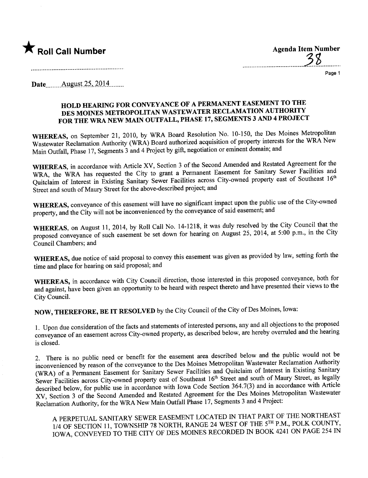

**Agenda Item Number** 

Page 1

**Date** August 25, 2014

## HOLD HEARING FOR CONVEYANCE OF A PERMANENT EASEMENT TO THE DES MOINES METROPOLITAN WASTEWATER RECLAMATION AUTHORITY FOR THE WRA NEW MAIN OUTFALL, PHASE 17, SEGMENTS 3 AND 4 PROJECT

WHEREAS, on September 21, 2010, by WRA Board Resolution No. 10-150, the Des Moines Metropolitan Wastewater Reclamation Authority (WRA) Board authorized acquisition of property interests for the WRA New Main Outfall, Phase 17, Segments 3 and 4 Project by gift, negotiation or eminent domain; and

WHEREAS, in accordance with Article XV, Section 3 of the Second Amended and Restated Agreement for the WRA, the WRA has requested the City to grant a Permanent Easement for Sanitary Sewer Facilities and Quitclaim of Interest in Existing Sanitary Sewer Facilities across City-owned property east of Southeast 16th Street and south of Maury Street for the above-described project; and

WHEREAS, conveyance of this easement will have no significant impact upon the public use of the City-owned property, and the City will not be inconvenienced by the conveyance of said easement; and

WHEREAS, on August 11, 2014, by Roll Call No. 14-1218, it was duly resolved by the City Council that the proposed conveyance of such easement be set down for hearing on August 25, 2014, at 5:00 p.m., in the City Council Chambers; and

WHEREAS, due notice of said proposal to convey this easement was given as provided by law, setting forth the time and place for hearing on said proposal; and

WHEREAS, in accordance with City Council direction, those interested in this proposed conveyance, both for and against, have been given an opportunity to be heard with respect thereto and have presented their views to the City Council.

NOW, THEREFORE, BE IT RESOLVED by the City Council of the City of Des Moines, Iowa:

1. Upon due consideration of the facts and statements of interested persons, any and all objections to the proposed conveyance of an easement across City-owned property, as described below, are hereby overruled and the hearing is closed.

2. There is no public need or benefit for the easement area described below and the public would not be inconvenienced by reason of the conveyance to the Des Moines Metropolitan Wastewater Reclamation Authority (WRA) of a Permanent Easement for Sanitary Sewer Facilities and Quitclaim of Interest in Existing Sanitary Sewer Facilities across City-owned property east of Southeast 16th Street and south of Maury Street, as legally described below, for public use in accordance with Iowa Code Section 364.7(3) and in accordance with Article XV, Section 3 of the Second Amended and Restated Agreement for the Des Moines Metropolitan Wastewater Reclamation Authority, for the WRA New Main Outfall Phase 17, Segments 3 and 4 Project:

A PERPETUAL SANITARY SEWER EASEMENT LOCATED IN THAT PART OF THE NORTHEAST 1/4 OF SECTION 11, TOWNSHIP 78 NORTH, RANGE 24 WEST OF THE 5TH P.M., POLK COUNTY, IOWA, CONVEYED TO THE CITY OF DES MOINES RECORDED IN BOOK 4241 ON PAGE 254 IN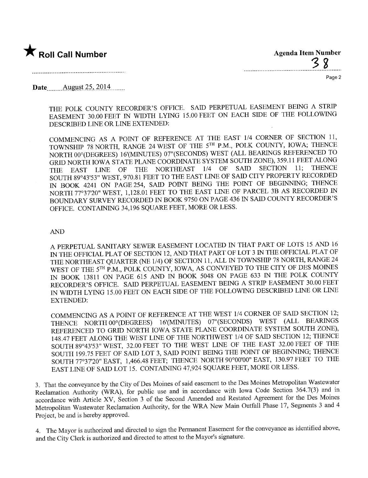

Page 2

Date... n.... Âllgi.st-2~,. .L.O.14...n...

THE POLK COUNTY RECORDER'S OFFICE. SAID PERPETUAL EASEMENT BEING A STRIP EASEMENT 30.00 FEET IN WIDTH LYING 15.00 FEET ON EACH SIDE OF THE FOLLOWING DESCRIBED LINE OR LINE EXTENDED:

COMMENCING AS A POINT OF REFERENCE AT THE EAST 1/4 CORNER OF SECTION 11, TOWNSHIP 78 NORTH, RANGE 24 WEST OF THE 5TH P.M., POLK COUNTY, IOWA; THENCE NORTH 00°(DEGREES) 16'(MINUTES) 07"(SECONDS) WEST (ALL BEARINGS REFERENCED TO GRID NORTH IOWA STATE PLANE COORDINATE SYSTEM SOUTH ZONE), 359.11 FEET ALONG THE EAST LINE OF THE NORTHEAST  $1/4$  OF SAID SECTION 11; THENCE THE EAST LINE OF THE NORTHEAST 1/4 OF SAID SECTION 11; THENCE SOUTH 89°43'53" WEST, 970.81 FEET TO THE EAST LINE OF SAID CITY PROPERTY RECORDER IN BOOK 4241 ON PAGE 254, SAID POINT BEING THE POINT OF BEGINNING; THENCE NORTH 77°37'20" WEST, 1,128.01 FEET TO THE EAST LINE OF PARCEL 3B AS RECORDED IN BOUNARY SURVEY RECORDED IN BOOK 9750 ON PAGE 436 IN SAID COUNTY RECORDER'S OFFICE. CONTAINING 34,196 SQUARE FEET, MORE OR LESS.

## AN

A PERPETUAL SANITARY SEWER EASEMENT LOCATED IN THAT PART OF LOTS 15 AND 16 IN THE OFFICIAL PLAT OF SECTION 12, AND THAT PART OF LOT 3 IN THE OFFICIAL PLAT OF THE NORTHEAST QUARTER (NE 1/4) OF SECTION 11, ALL IN TOWNSHIP 78 NORTH, RANGE 24 WEST OF THE 5TH P.M., POLK COUNTY, IOWA, AS CONVEYED TO THE CITY OF DES MOINES IN BOOK 13811 ON PAGE 615 AND IN BOOK 5048 ON PAGE 633 IN THE POLK COUNTY RECORDER'S OFFICE. SAID PERPETUAL EASEMENT BEING A STRIP EASEMENT 30.00 FEET IN WIDTH LYING 15.00 FEET ON EACH SIDE OF THE FOLLOWING DESCRIBED LINE OR LINE EXTENDED:

COMMENCING AS A POINT OF REFERENCE AT THE WEST 1/4 CORNER OF SAID SECTION 12; THENCE NORTH 00° (DEGREES) 16' (MINUTES) 07" (SECONDS) WEST (ALL BEARINGS REFERENCED TO GRID NORTH IOWA STATE PLANE COORDINATE SYSTEM SOUTH ZONE), 148.47 FEET ALONG THE WEST LINE OF THE NORTHWEST 1/4 OF SAID SECTION 12; THENCE SOUTH 89°43'53" WEST, 32.00 FEET TO THE WEST LINE OF THE EAST 32.00 FEET OF THE SOUTH 199.75 FEET OF SAID LOT 3, SAID POINT BEING THE POINT OF BEGINNING; THENCE SOUTH 77°37'20" EAST, 1,466.48 FEET; THENCE NORTH 90°00'00" EAST, 130.97 FEET TO THE EAST LINE OF SAID LOT 15. CONTAINING 47,924 SQUARE FEET, MORE OR LESS.

3. That the conveyance by the City of Des Moines of said easement to the Des Moines Metropolitan Wastewater Reclamation Authority (WRA), for public use and in accordance with Iowa Code Section 364.7(3) and in accordance with Aricle XV, Section 3 of the Second Amended and Restated Agreement for the Des Moines Metropolitan Wastewater Reclamation Authority, for the WRA New Main Outfall Phase 17, Segments 3 and 4 Project, be and is hereby approved.

4. The Mayor is authorized and directed to sign the Permanent Easement for the conveyance as identified above, and the City Clerk is authorized and directed to attest to the Mayor's signature.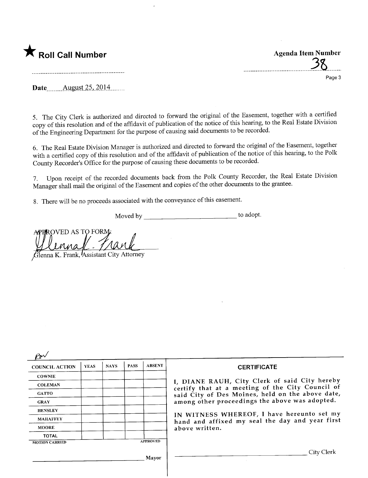

..............................\_........).ß........

Page 3

Date<sub>........</sub>... August 25, 2014

5. The City Clerk is authorized and directed to forward the original of the Easement, together with a certified copy of this resolution and of the affdavit of publication of the notice of this hearing, to the Real Estate Division of the Engineering Department for the purose of causing said documents to be recorded.

6. The Real Estate Division Manager is authorized and directed to forward the original of the Easement, together with a certified copy of this resolution and of the affdavit of publication of the notice of this hearing, to the Polk County Recorder's Office for the purose of causing these documents to be recorded.

7. Upon receipt of the recorded documents back from the Polk County Recorder, the Real Estate Division Manager shall mail the original of the Easement and copies of the other documents to the grantee.

8. There will be no proceeds associated with the conveyance of this easement.

Moved by to adopt.

**ROVED AS TO FORM** 

Glenna K. Frank, Assistant City Attorney

| <b>COUNCIL ACTION</b>                    | <b>YEAS</b> | <b>NAYS</b> | <b>PASS</b> | <b>ABSENT</b> | <b>CERTIFICATE</b>                                                                                                                                                                                                                                                                                                         |
|------------------------------------------|-------------|-------------|-------------|---------------|----------------------------------------------------------------------------------------------------------------------------------------------------------------------------------------------------------------------------------------------------------------------------------------------------------------------------|
| <b>COWNIE</b>                            |             |             |             |               | I, DIANE RAUH, City Clerk of said City hereby<br>certify that at a meeting of the City Council of<br>said City of Des Moines, held on the above date,<br>among other proceedings the above was adopted.<br>IN WITNESS WHEREOF, I have hereunto set my<br>hand and affixed my seal the day and year first<br>above written. |
| <b>COLEMAN</b>                           |             |             |             |               |                                                                                                                                                                                                                                                                                                                            |
| <b>GATTO</b>                             |             |             |             |               |                                                                                                                                                                                                                                                                                                                            |
| <b>GRAY</b>                              |             |             |             |               |                                                                                                                                                                                                                                                                                                                            |
| <b>HENSLEY</b>                           |             |             |             |               |                                                                                                                                                                                                                                                                                                                            |
| <b>MAHAFFEY</b>                          |             |             |             |               |                                                                                                                                                                                                                                                                                                                            |
| <b>MOORE</b>                             |             |             |             |               |                                                                                                                                                                                                                                                                                                                            |
| <b>TOTAL</b>                             |             |             |             |               |                                                                                                                                                                                                                                                                                                                            |
| <b>APPROVED</b><br><b>MOTION CARRIED</b> |             |             |             |               |                                                                                                                                                                                                                                                                                                                            |
|                                          |             |             |             | Mayor         | City Clerk                                                                                                                                                                                                                                                                                                                 |